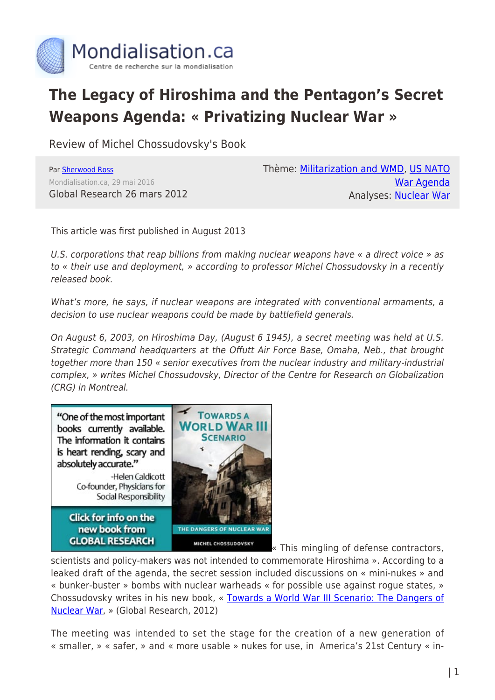

## **The Legacy of Hiroshima and the Pentagon's Secret Weapons Agenda: « Privatizing Nuclear War »**

Review of Michel Chossudovsky's Book

Par [Sherwood Ross](https://www.mondialisation.ca/author/sherwood-ross) Mondialisation.ca, 29 mai 2016 Global Research 26 mars 2012 Thème: [Militarization and WMD,](https://www.mondialisation.ca/theme/militarization-and-wmd) [US NATO](https://www.mondialisation.ca/theme/us-nato-war-agenda) [War Agenda](https://www.mondialisation.ca/theme/us-nato-war-agenda) Analyses: [Nuclear War](https://www.mondialisation.ca/indepthreport/nuclear-war)

This article was first published in August 2013

U.S. corporations that reap billions from making nuclear weapons have « a direct voice » as to « their use and deployment, » according to professor Michel Chossudovsky in a recently released book.

What's more, he says, if nuclear weapons are integrated with conventional armaments, a decision to use nuclear weapons could be made by battlefield generals.

On August 6, 2003, on Hiroshima Day, (August 6 1945), a secret meeting was held at U.S. Strategic Command headquarters at the Offutt Air Force Base, Omaha, Neb., that brought together more than 150 « senior executives from the nuclear industry and military-industrial complex, » writes Michel Chossudovsky, Director of the Centre for Research on Globalization (CRG) in Montreal.



[«](https://store.globalresearch.ca/store/towards-a-world-war-iii-scenario-the-dangers-of-nuclear-war/) This mingling of defense contractors,

scientists and policy-makers was not intended to commemorate Hiroshima ». According to a leaked draft of the agenda, the secret session included discussions on « mini-nukes » and « bunker-buster » bombs with nuclear warheads « for possible use against rogue states, » Chossudovsky writes in his new book, « [Towards a World War III Scenario: The Dangers of](https://store.globalresearch.ca/store/towards-a-world-war-iii-scenario-the-dangers-of-nuclear-war/) [Nuclear War,](https://store.globalresearch.ca/store/towards-a-world-war-iii-scenario-the-dangers-of-nuclear-war/) » (Global Research, 2012)

The meeting was intended to set the stage for the creation of a new generation of « smaller, » « safer, » and « more usable » nukes for use, in America's 21st Century « in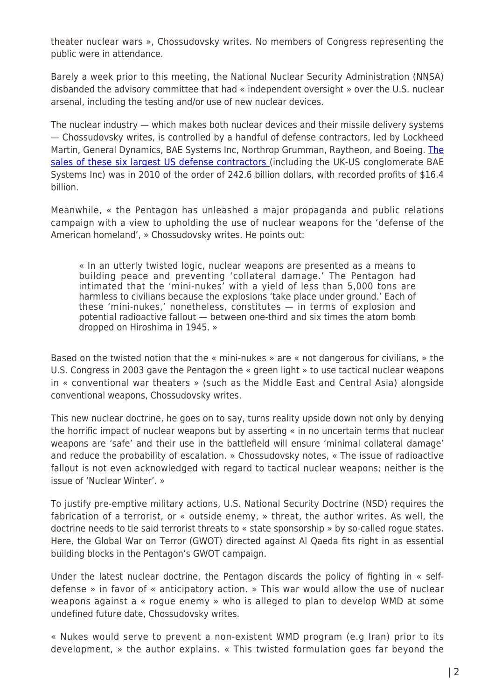theater nuclear wars », Chossudovsky writes. No members of Congress representing the public were in attendance.

Barely a week prior to this meeting, the National Nuclear Security Administration (NNSA) disbanded the advisory committee that had « independent oversight » over the U.S. nuclear arsenal, including the testing and/or use of new nuclear devices.

The nuclear industry — which makes both nuclear devices and their missile delivery systems — Chossudovsky writes, is controlled by a handful of defense contractors, led by Lockheed Martin, General Dynamics, BAE Systems Inc, Northrop Grumman, Raytheon, and Boeing. [The](http://www.sipri.org/research/armaments/production/Top100) [sales of these six largest US defense contractors](http://www.sipri.org/research/armaments/production/Top100) (including the UK-US conglomerate BAE Systems Inc) was in 2010 of the order of 242.6 billion dollars, with recorded profits of \$16.4 billion.

Meanwhile, « the Pentagon has unleashed a major propaganda and public relations campaign with a view to upholding the use of nuclear weapons for the 'defense of the American homeland', » Chossudovsky writes. He points out:

« In an utterly twisted logic, nuclear weapons are presented as a means to building peace and preventing 'collateral damage.' The Pentagon had intimated that the 'mini-nukes' with a yield of less than 5,000 tons are harmless to civilians because the explosions 'take place under ground.' Each of these 'mini-nukes,' nonetheless, constitutes — in terms of explosion and potential radioactive fallout — between one-third and six times the atom bomb dropped on Hiroshima in 1945. »

Based on the twisted notion that the « mini-nukes » are « not dangerous for civilians, » the U.S. Congress in 2003 gave the Pentagon the « green light » to use tactical nuclear weapons in « conventional war theaters » (such as the Middle East and Central Asia) alongside conventional weapons, Chossudovsky writes.

This new nuclear doctrine, he goes on to say, turns reality upside down not only by denying the horrific impact of nuclear weapons but by asserting « in no uncertain terms that nuclear weapons are 'safe' and their use in the battlefield will ensure 'minimal collateral damage' and reduce the probability of escalation. » Chossudovsky notes, « The issue of radioactive fallout is not even acknowledged with regard to tactical nuclear weapons; neither is the issue of 'Nuclear Winter'. »

To justify pre-emptive military actions, U.S. National Security Doctrine (NSD) requires the fabrication of a terrorist, or « outside enemy, » threat, the author writes. As well, the doctrine needs to tie said terrorist threats to « state sponsorship » by so-called rogue states. Here, the Global War on Terror (GWOT) directed against Al Qaeda fits right in as essential building blocks in the Pentagon's GWOT campaign.

Under the latest nuclear doctrine, the Pentagon discards the policy of fighting in « selfdefense » in favor of « anticipatory action. » This war would allow the use of nuclear weapons against a « rogue enemy » who is alleged to plan to develop WMD at some undefined future date, Chossudovsky writes.

« Nukes would serve to prevent a non-existent WMD program (e.g Iran) prior to its development, » the author explains. « This twisted formulation goes far beyond the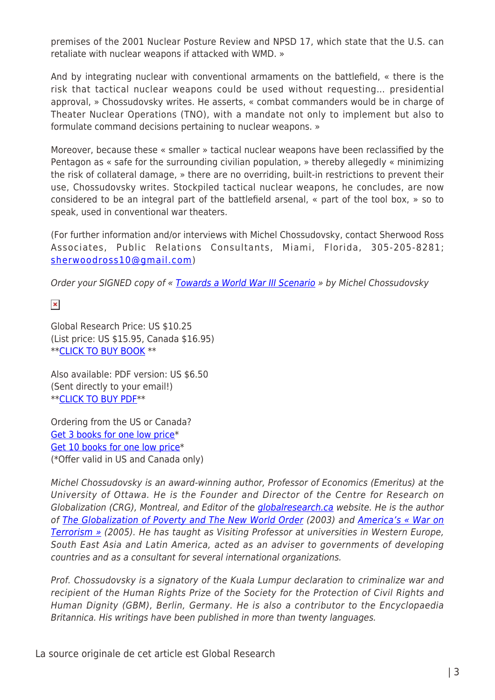premises of the 2001 Nuclear Posture Review and NPSD 17, which state that the U.S. can retaliate with nuclear weapons if attacked with WMD. »

And by integrating nuclear with conventional armaments on the battlefield, « there is the risk that tactical nuclear weapons could be used without requesting… presidential approval, » Chossudovsky writes. He asserts, « combat commanders would be in charge of Theater Nuclear Operations (TNO), with a mandate not only to implement but also to formulate command decisions pertaining to nuclear weapons. »

Moreover, because these « smaller » tactical nuclear weapons have been reclassified by the Pentagon as « safe for the surrounding civilian population, » thereby allegedly « minimizing the risk of collateral damage, » there are no overriding, built-in restrictions to prevent their use, Chossudovsky writes. Stockpiled tactical nuclear weapons, he concludes, are now considered to be an integral part of the battlefield arsenal, « part of the tool box, » so to speak, used in conventional war theaters.

(For further information and/or interviews with Michel Chossudovsky, contact Sherwood Ross Associates, Public Relations Consultants, Miami, Florida, 305-205-8281; [sherwoodross10@gmail.com](http://us.mc1613.mail.yahoo.com/mc/compose?to=sherwoodross10@gmail.com))

Order your SIGNED copy of « [Towards a World War III Scenario](https://store.globalresearch.ca/store/towards-a-world-war-iii-scenario-the-dangers-of-nuclear-war/) » by Michel Chossudovsky

 $\pmb{\times}$ 

Global Research Price: US \$10.25 (List price: US \$15.95, Canada \$16.95) \*[\\*CLICK TO BUY BOOK](https://store.globalresearch.ca/store/towards-a-world-war-iii-scenario-the-dangers-of-nuclear-war/) \*\*

Also available: PDF version: US \$6.50 (Sent directly to your email!) \*[\\*CLICK TO BUY PDF\\*](https://store.globalresearch.ca/store/towards-a-world-war-iii-scenario-pdf/)\*

Ordering from the US or Canada? [Get 3 books for one low price](https://store.globalresearch.ca/store/3-books-towards-a-world-war-iii-scenario/)\* [Get 10 books for one low price\\*](https://store.globalresearch.ca/store/10-books-towards-a-world-war-iii-scenario-the-dangers-of-nuclear-war/) (\*Offer valid in US and Canada only)

Michel Chossudovsky is an award-winning author, Professor of Economics (Emeritus) at the University of Ottawa. He is the Founder and Director of the Centre for Research on Globalization (CRG), Montreal, and Editor of the [globalresearch.ca](http://globalresearch.ca/) website. He is the author of [The Globalization of Poverty and The New World Order](https://store.globalresearch.ca/store/the-globalization-of-poverty-and-the-new-world-order/) (2003) and [America's « War on](https://store.globalresearch.ca/store/americas-war-on-terrorism/) [Terrorism »](https://store.globalresearch.ca/store/americas-war-on-terrorism/) (2005). He has taught as Visiting Professor at universities in Western Europe, South East Asia and Latin America, acted as an adviser to governments of developing countries and as a consultant for several international organizations.

Prof. Chossudovsky is a signatory of the Kuala Lumpur declaration to criminalize war and recipient of the Human Rights Prize of the Society for the Protection of Civil Rights and Human Dignity (GBM), Berlin, Germany. He is also a contributor to the Encyclopaedia Britannica. His writings have been published in more than twenty languages.